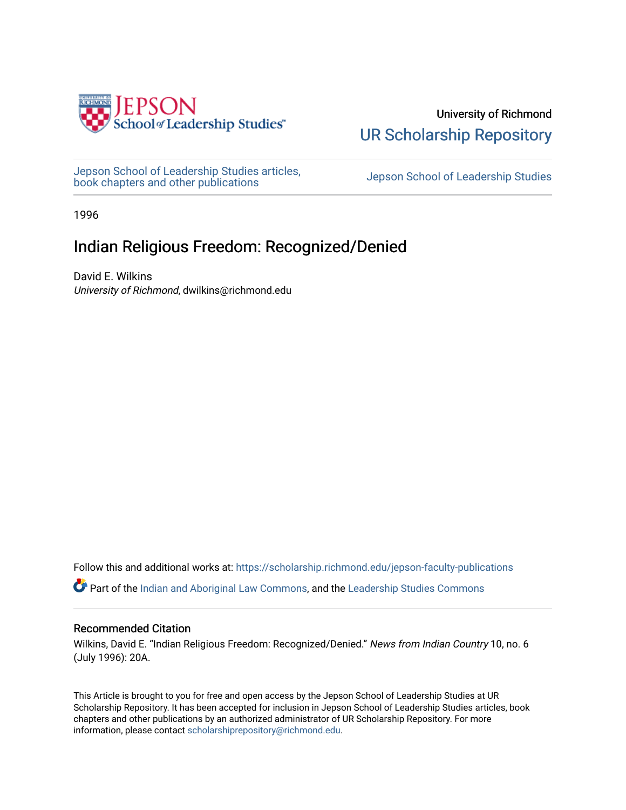

University of Richmond [UR Scholarship Repository](https://scholarship.richmond.edu/) 

[Jepson School of Leadership Studies articles,](https://scholarship.richmond.edu/jepson-faculty-publications) bepson School of Leadership Studies articles,<br>[book chapters and other publications](https://scholarship.richmond.edu/jepson-faculty-publications) book chapters and other publications

1996

## Indian Religious Freedom: Recognized/Denied

David E. Wilkins University of Richmond, dwilkins@richmond.edu

Follow this and additional works at: [https://scholarship.richmond.edu/jepson-faculty-publications](https://scholarship.richmond.edu/jepson-faculty-publications?utm_source=scholarship.richmond.edu%2Fjepson-faculty-publications%2F310&utm_medium=PDF&utm_campaign=PDFCoverPages)

**Part of the [Indian and Aboriginal Law Commons,](http://network.bepress.com/hgg/discipline/894?utm_source=scholarship.richmond.edu%2Fjepson-faculty-publications%2F310&utm_medium=PDF&utm_campaign=PDFCoverPages) and the Leadership Studies Commons** 

#### Recommended Citation

Wilkins, David E. "Indian Religious Freedom: Recognized/Denied." News from Indian Country 10, no. 6 (July 1996): 20A.

This Article is brought to you for free and open access by the Jepson School of Leadership Studies at UR Scholarship Repository. It has been accepted for inclusion in Jepson School of Leadership Studies articles, book chapters and other publications by an authorized administrator of UR Scholarship Repository. For more information, please contact [scholarshiprepository@richmond.edu](mailto:scholarshiprepository@richmond.edu).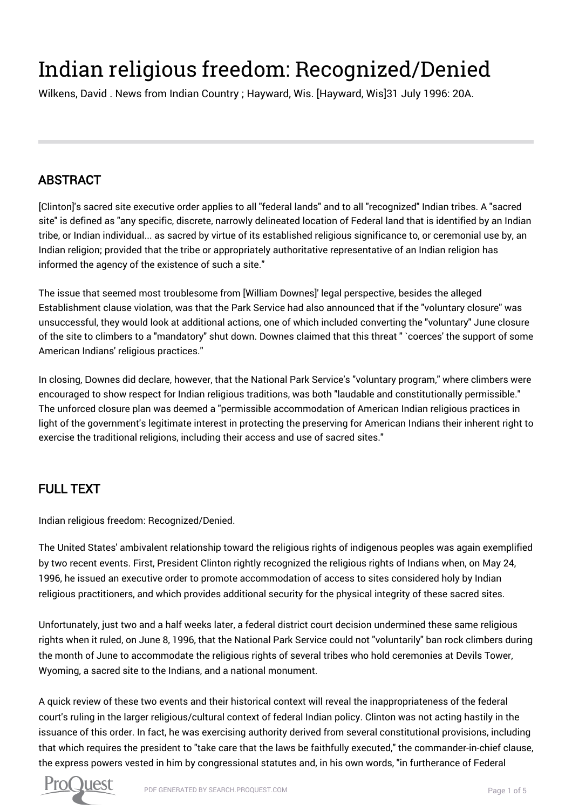# Indian religious freedom: Recognized/Denied

Wilkens, David . News from Indian Country ; Hayward, Wis. [Hayward, Wis]31 July 1996: 20A.

# ABSTRACT

[Clinton]'s sacred site executive order applies to all "federal lands" and to all "recognized" Indian tribes. A "sacred site" is defined as "any specific, discrete, narrowly delineated location of Federal land that is identified by an Indian tribe, or Indian individual... as sacred by virtue of its established religious significance to, or ceremonial use by, an Indian religion; provided that the tribe or appropriately authoritative representative of an Indian religion has informed the agency of the existence of such a site."

The issue that seemed most troublesome from [William Downes]' legal perspective, besides the alleged Establishment clause violation, was that the Park Service had also announced that if the "voluntary closure" was unsuccessful, they would look at additional actions, one of which included converting the "voluntary" June closure of the site to climbers to a "mandatory" shut down. Downes claimed that this threat " `coerces' the support of some American Indians' religious practices."

In closing, Downes did declare, however, that the National Park Service's "voluntary program," where climbers were encouraged to show respect for Indian religious traditions, was both "laudable and constitutionally permissible." The unforced closure plan was deemed a "permissible accommodation of American Indian religious practices in light of the government's legitimate interest in protecting the preserving for American Indians their inherent right to exercise the traditional religions, including their access and use of sacred sites."

## FULL TEXT

Indian religious freedom: Recognized/Denied.

The United States' ambivalent relationship toward the religious rights of indigenous peoples was again exemplified by two recent events. First, President Clinton rightly recognized the religious rights of Indians when, on May 24, 1996, he issued an executive order to promote accommodation of access to sites considered holy by Indian religious practitioners, and which provides additional security for the physical integrity of these sacred sites.

Unfortunately, just two and a half weeks later, a federal district court decision undermined these same religious rights when it ruled, on June 8, 1996, that the National Park Service could not "voluntarily" ban rock climbers during the month of June to accommodate the religious rights of several tribes who hold ceremonies at Devils Tower, Wyoming, a sacred site to the Indians, and a national monument.

A quick review of these two events and their historical context will reveal the inappropriateness of the federal court's ruling in the larger religious/cultural context of federal Indian policy. Clinton was not acting hastily in the issuance of this order. In fact, he was exercising authority derived from several constitutional provisions, including that which requires the president to "take care that the laws be faithfully executed," the commander-in-chief clause, the express powers vested in him by congressional statutes and, in his own words, "in furtherance of Federal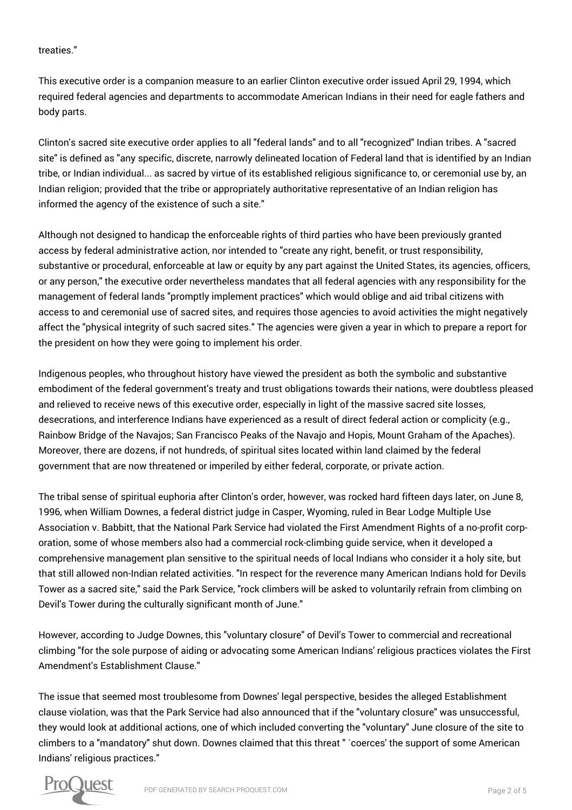treaties."

This executive order is a companion measure to an earlier Clinton executive order issued April 29, 1994, which required federal agencies and departments to accommodate American Indians in their need for eagle fathers and body parts.

Clinton's sacred site executive order applies to all "federal lands" and to all "recognized" Indian tribes. A "sacred site" is defined as "any specific, discrete, narrowly delineated location of Federal land that is identified by an Indian tribe, or Indian individual... as sacred by virtue of its established religious significance to, or ceremonial use by, an Indian religion; provided that the tribe or appropriately authoritative representative of an Indian religion has informed the agency of the existence of such a site."

Although not designed to handicap the enforceable rights of third parties who have been previously granted access by federal administrative action, nor intended to "create any right, benefit, or trust responsibility, substantive or procedural, enforceable at law or equity by any part against the United States, its agencies, officers, or any person," the executive order nevertheless mandates that all federal agencies with any responsibility for the management of federal lands "promptly implement practices" which would oblige and aid tribal citizens with access to and ceremonial use of sacred sites, and requires those agencies to avoid activities the might negatively affect the "physical integrity of such sacred sites." The agencies were given a year in which to prepare a report for the president on how they were going to implement his order.

Indigenous peoples, who throughout history have viewed the president as both the symbolic and substantive embodiment of the federal government's treaty and trust obligations towards their nations, were doubtless pleased and relieved to receive news of this executive order, especially in light of the massive sacred site losses, desecrations, and interference Indians have experienced as a result of direct federal action or complicity (e.g., Rainbow Bridge of the Navajos; San Francisco Peaks of the Navajo and Hopis, Mount Graham of the Apaches). Moreover, there are dozens, if not hundreds, of spiritual sites located within land claimed by the federal government that are now threatened or imperiled by either federal, corporate, or private action.

The tribal sense of spiritual euphoria after Clinton's order, however, was rocked hard fifteen days later, on June 8, 1996, when William Downes, a federal district judge in Casper, Wyoming, ruled in Bear Lodge Multiple Use Association v. Babbitt, that the National Park Service had violated the First Amendment Rights of a no-profit corporation, some of whose members also had a commercial rock-climbing guide service, when it developed a comprehensive management plan sensitive to the spiritual needs of local Indians who consider it a holy site, but that still allowed non-Indian related activities. "In respect for the reverence many American Indians hold for Devils Tower as a sacred site," said the Park Service, "rock climbers will be asked to voluntarily refrain from climbing on Devil's Tower during the culturally significant month of June."

However, according to Judge Downes, this "voluntary closure" of Devil's Tower to commercial and recreational climbing "for the sole purpose of aiding or advocating some American Indians' religious practices violates the First Amendment's Establishment Clause."

The issue that seemed most troublesome from Downes' legal perspective, besides the alleged Establishment clause violation, was that the Park Service had also announced that if the "voluntary closure" was unsuccessful, they would look at additional actions, one of which included converting the "voluntary" June closure of the site to climbers to a "mandatory" shut down. Downes claimed that this threat " `coerces' the support of some American Indians' religious practices."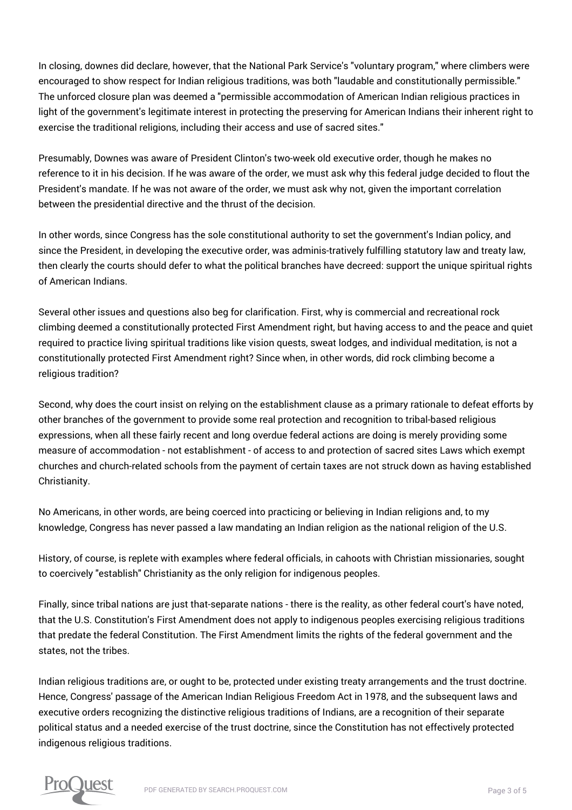In closing, downes did declare, however, that the National Park Service's "voluntary program," where climbers were encouraged to show respect for Indian religious traditions, was both "laudable and constitutionally permissible." The unforced closure plan was deemed a "permissible accommodation of American Indian religious practices in light of the government's legitimate interest in protecting the preserving for American Indians their inherent right to exercise the traditional religions, including their access and use of sacred sites."

Presumably, Downes was aware of President Clinton's two-week old executive order, though he makes no reference to it in his decision. If he was aware of the order, we must ask why this federal judge decided to flout the President's mandate. If he was not aware of the order, we must ask why not, given the important correlation between the presidential directive and the thrust of the decision.

In other words, since Congress has the sole constitutional authority to set the government's Indian policy, and since the President, in developing the executive order, was adminis-tratively fulfilling statutory law and treaty law, then clearly the courts should defer to what the political branches have decreed: support the unique spiritual rights of American Indians.

Several other issues and questions also beg for clarification. First, why is commercial and recreational rock climbing deemed a constitutionally protected First Amendment right, but having access to and the peace and quiet required to practice living spiritual traditions like vision quests, sweat lodges, and individual meditation, is not a constitutionally protected First Amendment right? Since when, in other words, did rock climbing become a religious tradition?

Second, why does the court insist on relying on the establishment clause as a primary rationale to defeat efforts by other branches of the government to provide some real protection and recognition to tribal-based religious expressions, when all these fairly recent and long overdue federal actions are doing is merely providing some measure of accommodation - not establishment - of access to and protection of sacred sites Laws which exempt churches and church-related schools from the payment of certain taxes are not struck down as having established Christianity.

No Americans, in other words, are being coerced into practicing or believing in Indian religions and, to my knowledge, Congress has never passed a law mandating an Indian religion as the national religion of the U.S.

History, of course, is replete with examples where federal officials, in cahoots with Christian missionaries, sought to coercively "establish" Christianity as the only religion for indigenous peoples.

Finally, since tribal nations are just that-separate nations - there is the reality, as other federal court's have noted, that the U.S. Constitution's First Amendment does not apply to indigenous peoples exercising religious traditions that predate the federal Constitution. The First Amendment limits the rights of the federal government and the states, not the tribes.

Indian religious traditions are, or ought to be, protected under existing treaty arrangements and the trust doctrine. Hence, Congress' passage of the American Indian Religious Freedom Act in 1978, and the subsequent laws and executive orders recognizing the distinctive religious traditions of Indians, are a recognition of their separate political status and a needed exercise of the trust doctrine, since the Constitution has not effectively protected indigenous religious traditions.